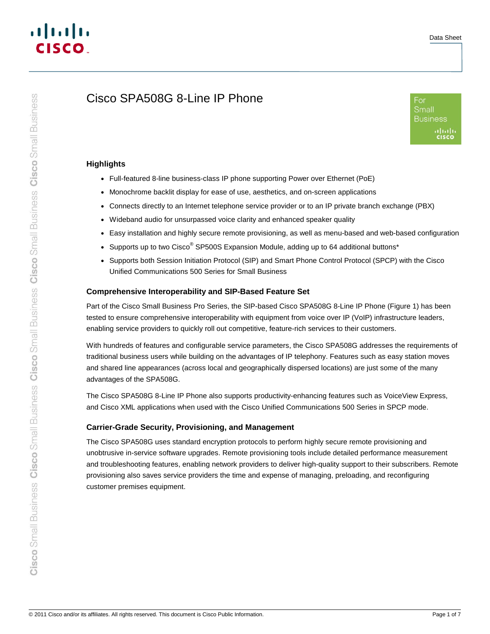# Cisco SPA508G 8-Line IP Phone



### **Highlights**

- Full-featured 8-line business-class IP phone supporting Power over Ethernet (PoE)
- Monochrome backlit display for ease of use, aesthetics, and on-screen applications
- Connects directly to an Internet telephone service provider or to an IP private branch exchange (PBX)
- Wideband audio for unsurpassed voice clarity and enhanced speaker quality
- Easy installation and highly secure remote provisioning, as well as menu-based and web-based configuration
- Supports up to two Cisco<sup>®</sup> SP500S Expansion Module, adding up to 64 additional buttons\*
- Supports both Session Initiation Protocol (SIP) and Smart Phone Control Protocol (SPCP) with the Cisco Unified Communications 500 Series for Small Business

### **Comprehensive Interoperability and SIP-Based Feature Set**

Part of the Cisco Small Business Pro Series, the SIP-based Cisco SPA508G 8-Line IP Phone (Figure 1) has been tested to ensure comprehensive interoperability with equipment from voice over IP (VoIP) infrastructure leaders, enabling service providers to quickly roll out competitive, feature-rich services to their customers.

With hundreds of features and configurable service parameters, the Cisco SPA508G addresses the requirements of traditional business users while building on the advantages of IP telephony. Features such as easy station moves and shared line appearances (across local and geographically dispersed locations) are just some of the many advantages of the SPA508G.

The Cisco SPA508G 8-Line IP Phone also supports productivity-enhancing features such as VoiceView Express, and Cisco XML applications when used with the Cisco Unified Communications 500 Series in SPCP mode.

# **Carrier-Grade Security, Provisioning, and Management**

The Cisco SPA508G uses standard encryption protocols to perform highly secure remote provisioning and unobtrusive in-service software upgrades. Remote provisioning tools include detailed performance measurement and troubleshooting features, enabling network providers to deliver high-quality support to their subscribers. Remote provisioning also saves service providers the time and expense of managing, preloading, and reconfiguring customer premises equipment.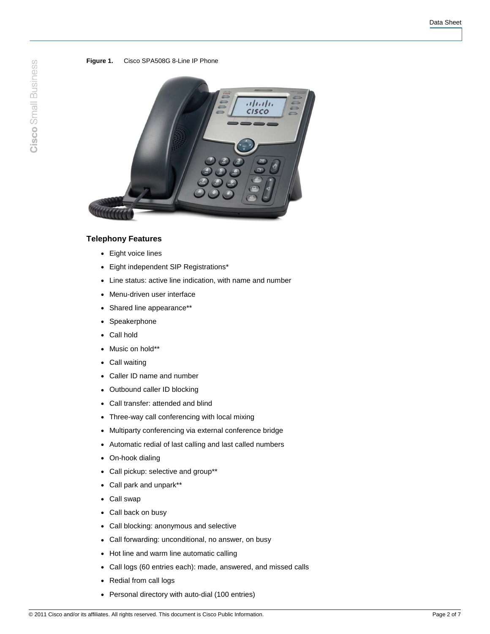#### **Figure 1.** Cisco SPA508G 8-Line IP Phone



### **Telephony Features**

- Eight voice lines
- Eight independent SIP Registrations\*
- Line status: active line indication, with name and number
- Menu-driven user interface
- Shared line appearance\*\*
- Speakerphone
- Call hold
- Music on hold\*\*
- Call waiting
- Caller ID name and number
- Outbound caller ID blocking
- Call transfer: attended and blind
- Three-way call conferencing with local mixing
- Multiparty conferencing via external conference bridge
- Automatic redial of last calling and last called numbers
- On-hook dialing
- Call pickup: selective and group\*\*
- Call park and unpark\*\*
- Call swap
- Call back on busy
- Call blocking: anonymous and selective
- Call forwarding: unconditional, no answer, on busy
- Hot line and warm line automatic calling
- Call logs (60 entries each): made, answered, and missed calls
- Redial from call logs
- Personal directory with auto-dial (100 entries)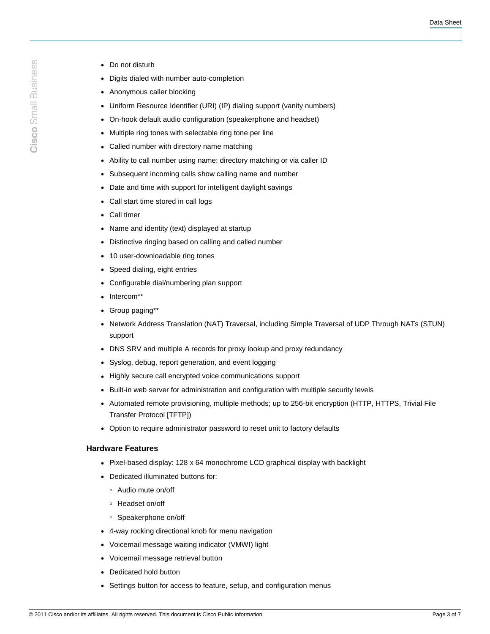- Cisco Small Business
- Do not disturb
- Digits dialed with number auto-completion
- Anonymous caller blocking
- Uniform Resource Identifier (URI) (IP) dialing support (vanity numbers)
- On-hook default audio configuration (speakerphone and headset)
- Multiple ring tones with selectable ring tone per line
- Called number with directory name matching
- Ability to call number using name: directory matching or via caller ID
- Subsequent incoming calls show calling name and number
- Date and time with support for intelligent daylight savings
- Call start time stored in call logs
- Call timer
- Name and identity (text) displayed at startup
- Distinctive ringing based on calling and called number
- 10 user-downloadable ring tones
- Speed dialing, eight entries
- Configurable dial/numbering plan support
- Intercom\*\*
- Group paging\*\*
- Network Address Translation (NAT) Traversal, including Simple Traversal of UDP Through NATs (STUN) support
- DNS SRV and multiple A records for proxy lookup and proxy redundancy
- Syslog, debug, report generation, and event logging
- Highly secure call encrypted voice communications support
- Built-in web server for administration and configuration with multiple security levels
- Automated remote provisioning, multiple methods; up to 256-bit encryption (HTTP, HTTPS, Trivial File Transfer Protocol [TFTP])
- Option to require administrator password to reset unit to factory defaults

#### **Hardware Features**

- Pixel-based display: 128 x 64 monochrome LCD graphical display with backlight
- Dedicated illuminated buttons for:
	- Audio mute on/off
	- Headset on/off
	- Speakerphone on/off
- 4-way rocking directional knob for menu navigation
- Voicemail message waiting indicator (VMWI) light
- Voicemail message retrieval button
- Dedicated hold button
- Settings button for access to feature, setup, and configuration menus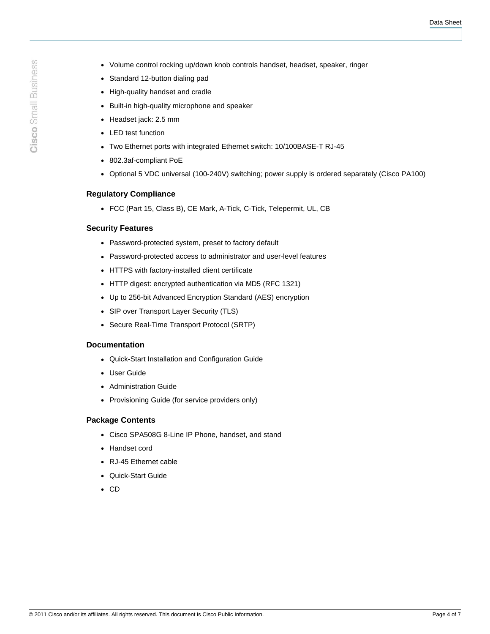- Volume control rocking up/down knob controls handset, headset, speaker, ringer
- Standard 12-button dialing pad
- High-quality handset and cradle
- Built-in high-quality microphone and speaker
- Headset jack: 2.5 mm
- LED test function
- Two Ethernet ports with integrated Ethernet switch: 10/100BASE-T RJ-45
- 802.3af-compliant PoE
- Optional 5 VDC universal (100-240V) switching; power supply is ordered separately (Cisco PA100)

### **Regulatory Compliance**

● FCC (Part 15, Class B), CE Mark, A-Tick, C-Tick, Telepermit, UL, CB

### **Security Features**

- Password-protected system, preset to factory default
- Password-protected access to administrator and user-level features
- HTTPS with factory-installed client certificate
- HTTP digest: encrypted authentication via MD5 (RFC 1321)
- Up to 256-bit Advanced Encryption Standard (AES) encryption
- SIP over Transport Layer Security (TLS)
- Secure Real-Time Transport Protocol (SRTP)

#### **Documentation**

- Quick-Start Installation and Configuration Guide
- User Guide
- Administration Guide
- Provisioning Guide (for service providers only)

# **Package Contents**

- Cisco SPA508G 8-Line IP Phone, handset, and stand
- Handset cord
- RJ-45 Ethernet cable
- Quick-Start Guide
- CD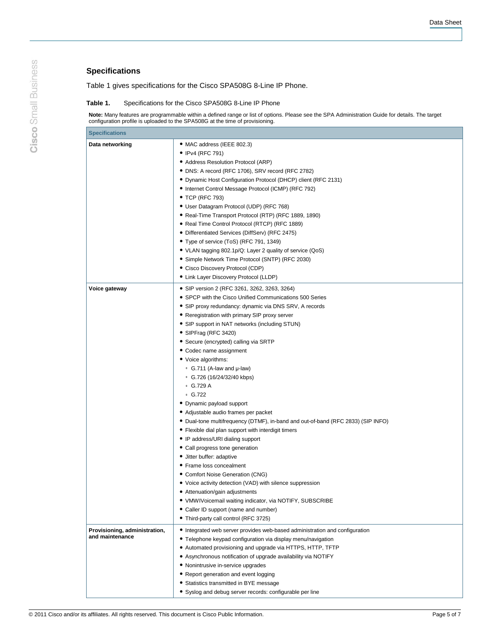# **Specifications**

Table 1 gives specifications for the Cisco SPA508G 8-Line IP Phone.

#### **Table 1.** Specifications for the Cisco SPA508G 8-Line IP Phone

**Note:** Many features are programmable within a defined range or list of options. Please see the SPA Administration Guide for details. The target configuration profile is uploaded to the SPA508G at the time of provisioning.

| <b>Specifications</b>         |                                                                                  |
|-------------------------------|----------------------------------------------------------------------------------|
| Data networking               | • MAC address (IEEE 802.3)                                                       |
|                               | • IPv4 (RFC 791)                                                                 |
|                               | · Address Resolution Protocol (ARP)                                              |
|                               | • DNS: A record (RFC 1706), SRV record (RFC 2782)                                |
|                               | • Dynamic Host Configuration Protocol (DHCP) client (RFC 2131)                   |
|                               | • Internet Control Message Protocol (ICMP) (RFC 792)                             |
|                               | • TCP (RFC 793)                                                                  |
|                               | • User Datagram Protocol (UDP) (RFC 768)                                         |
|                               | • Real-Time Transport Protocol (RTP) (RFC 1889, 1890)                            |
|                               | • Real Time Control Protocol (RTCP) (RFC 1889)                                   |
|                               | • Differentiated Services (DiffServ) (RFC 2475)                                  |
|                               | • Type of service (ToS) (RFC 791, 1349)                                          |
|                               | • VLAN tagging 802.1p/Q: Layer 2 quality of service (QoS)                        |
|                               | • Simple Network Time Protocol (SNTP) (RFC 2030)                                 |
|                               | • Cisco Discovery Protocol (CDP)                                                 |
|                               | • Link Layer Discovery Protocol (LLDP)                                           |
|                               |                                                                                  |
| Voice gateway                 | • SIP version 2 (RFC 3261, 3262, 3263, 3264)                                     |
|                               | • SPCP with the Cisco Unified Communications 500 Series                          |
|                               | • SIP proxy redundancy: dynamic via DNS SRV, A records                           |
|                               | • Reregistration with primary SIP proxy server                                   |
|                               | • SIP support in NAT networks (including STUN)                                   |
|                               | • SIPFrag (RFC 3420)                                                             |
|                               | • Secure (encrypted) calling via SRTP                                            |
|                               | • Codec name assignment                                                          |
|                               | • Voice algorithms:                                                              |
|                               | • G.711 (A-law and $\mu$ -law)                                                   |
|                               | $\degree$ G.726 (16/24/32/40 kbps)                                               |
|                               | $\degree$ G.729 A                                                                |
|                               | $\degree$ G.722                                                                  |
|                               | • Dynamic payload support                                                        |
|                               | • Adjustable audio frames per packet                                             |
|                               | • Dual-tone multifrequency (DTMF), in-band and out-of-band (RFC 2833) (SIP INFO) |
|                               | • Flexible dial plan support with interdigit timers                              |
|                               | • IP address/URI dialing support                                                 |
|                               | • Call progress tone generation                                                  |
|                               | · Jitter buffer: adaptive                                                        |
|                               | • Frame loss concealment                                                         |
|                               | • Comfort Noise Generation (CNG)                                                 |
|                               | • Voice activity detection (VAD) with silence suppression                        |
|                               | • Attenuation/gain adjustments                                                   |
|                               | • VMWIVoicemail waiting indicator, via NOTIFY, SUBSCRIBE                         |
|                               | • Caller ID support (name and number)                                            |
|                               | • Third-party call control (RFC 3725)                                            |
| Provisioning, administration, | • Integrated web server provides web-based administration and configuration      |
| and maintenance               | • Telephone keypad configuration via display menu/navigation                     |
|                               | • Automated provisioning and upgrade via HTTPS, HTTP, TFTP                       |
|                               | • Asynchronous notification of upgrade availability via NOTIFY                   |
|                               | • Nonintrusive in-service upgrades                                               |
|                               | • Report generation and event logging                                            |
|                               | • Statistics transmitted in BYE message                                          |
|                               | • Syslog and debug server records: configurable per line                         |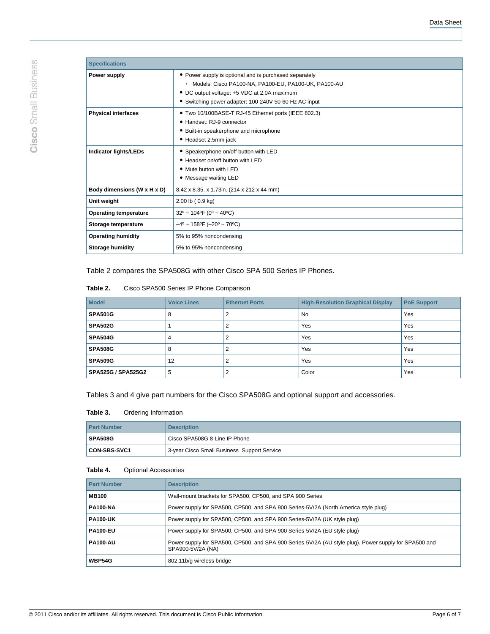| <b>Specifications</b>        |                                                                 |  |
|------------------------------|-----------------------------------------------------------------|--|
| Power supply                 | • Power supply is optional and is purchased separately          |  |
|                              | Models: Cisco PA100-NA, PA100-EU, PA100-UK, PA100-AU<br>$\circ$ |  |
|                              | • DC output voltage: +5 VDC at 2.0A maximum                     |  |
|                              | • Switching power adapter: 100-240V 50-60 Hz AC input           |  |
| <b>Physical interfaces</b>   | • Two 10/100BASE-T RJ-45 Ethernet ports (IEEE 802.3)            |  |
|                              | • Handset: RJ-9 connector                                       |  |
|                              | • Built-in speakerphone and microphone                          |  |
|                              | • Headset 2.5mm jack                                            |  |
| <b>Indicator lights/LEDs</b> | • Speakerphone on/off button with LED                           |  |
|                              | • Headset on/off button with LED                                |  |
|                              | • Mute button with LED                                          |  |
|                              | • Message waiting LED                                           |  |
| Body dimensions (W x H x D)  | 8.42 x 8.35. x 1.73in. (214 x 212 x 44 mm)                      |  |
| Unit weight                  | $2.00$ lb ( $0.9$ kg)                                           |  |
| <b>Operating temperature</b> | $32^{\circ}$ ~ 104°F (0° ~ 40°C)                                |  |
| Storage temperature          | $-4^{\circ}$ ~ 158°F (-20° ~ 70°C)                              |  |
| <b>Operating humidity</b>    | 5% to 95% noncondensing                                         |  |
| <b>Storage humidity</b>      | 5% to 95% noncondensing                                         |  |

Table 2 compares the SPA508G with other Cisco SPA 500 Series IP Phones.

| Table 2. | Cisco SPA500 Series IP Phone Comparison |
|----------|-----------------------------------------|
|----------|-----------------------------------------|

| <b>Model</b>       | <b>Voice Lines</b> | <b>Ethernet Ports</b> | <b>High-Resolution Graphical Display</b> | <b>PoE Support</b> |
|--------------------|--------------------|-----------------------|------------------------------------------|--------------------|
| <b>SPA501G</b>     | 8                  |                       | <b>No</b>                                | Yes                |
| <b>SPA502G</b>     |                    |                       | Yes                                      | Yes                |
| SPA504G            | 4                  |                       | Yes                                      | Yes                |
| <b>SPA508G</b>     | 8                  |                       | Yes                                      | Yes                |
| <b>SPA509G</b>     | 12                 |                       | Yes                                      | Yes                |
| SPA525G / SPA525G2 | 5                  |                       | Color                                    | Yes                |

Tables 3 and 4 give part numbers for the Cisco SPA508G and optional support and accessories.

#### **Table 3.** Ordering Information

| <b>Part Number</b> | <b>Description</b>                          |  |
|--------------------|---------------------------------------------|--|
| <b>SPA508G</b>     | l Cisco SPA508G 8-Line IP Phone             |  |
| CON-SBS-SVC1       | 3-year Cisco Small Business Support Service |  |

### **Table 4.** Optional Accessories

| <b>Part Number</b> | <b>Description</b>                                                                                                         |
|--------------------|----------------------------------------------------------------------------------------------------------------------------|
| <b>MB100</b>       | Wall-mount brackets for SPA500, CP500, and SPA 900 Series                                                                  |
| <b>PA100-NA</b>    | Power supply for SPA500, CP500, and SPA 900 Series-5V/2A (North America style plug)                                        |
| <b>PA100-UK</b>    | Power supply for SPA500, CP500, and SPA 900 Series-5V/2A (UK style plug)                                                   |
| <b>PA100-EU</b>    | Power supply for SPA500, CP500, and SPA 900 Series-5V/2A (EU style plug)                                                   |
| <b>PA100-AU</b>    | Power supply for SPA500, CP500, and SPA 900 Series-5V/2A (AU style plug). Power supply for SPA500 and<br>SPA900-5V/2A (NA) |
| <b>WBP54G</b>      | 802.11b/g wireless bridge                                                                                                  |